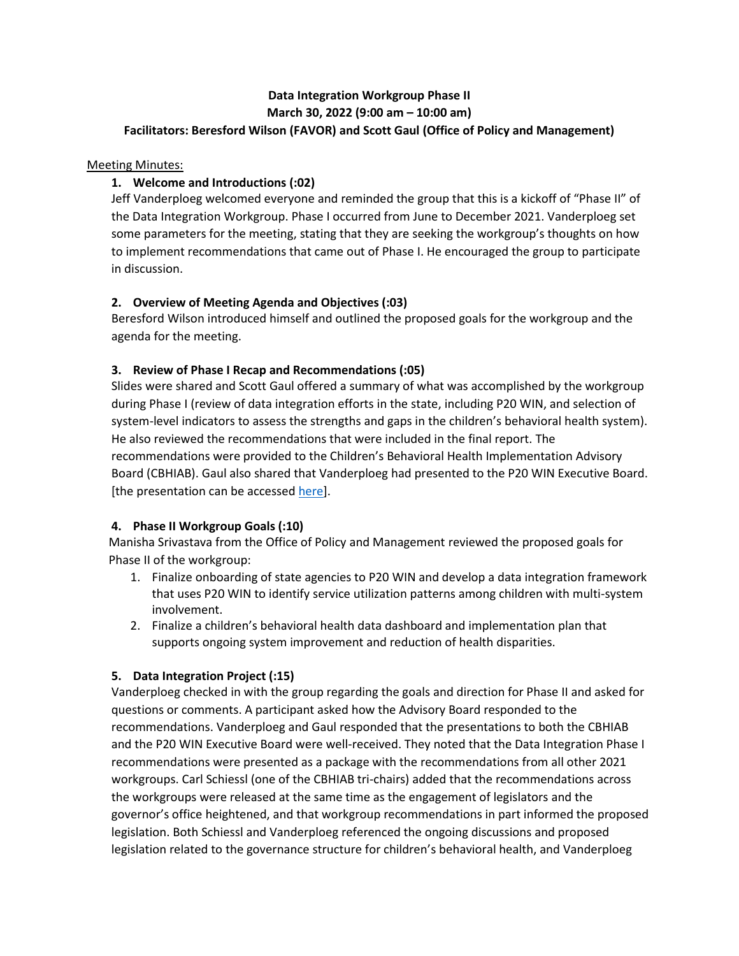# **Data Integration Workgroup Phase II March 30, 2022 (9:00 am – 10:00 am)**

### **Facilitators: Beresford Wilson (FAVOR) and Scott Gaul (Office of Policy and Management)**

#### Meeting Minutes:

## **1. Welcome and Introductions (:02)**

Jeff Vanderploeg welcomed everyone and reminded the group that this is a kickoff of "Phase II" of the Data Integration Workgroup. Phase I occurred from June to December 2021. Vanderploeg set some parameters for the meeting, stating that they are seeking the workgroup's thoughts on how to implement recommendations that came out of Phase I. He encouraged the group to participate in discussion.

### **2. Overview of Meeting Agenda and Objectives (:03)**

Beresford Wilson introduced himself and outlined the proposed goals for the workgroup and the agenda for the meeting.

### **3. Review of Phase I Recap and Recommendations (:05)**

Slides were shared and Scott Gaul offered a summary of what was accomplished by the workgroup during Phase I (review of data integration efforts in the state, including P20 WIN, and selection of system-level indicators to assess the strengths and gaps in the children's behavioral health system). He also reviewed the recommendations that were included in the final report. The recommendations were provided to the Children's Behavioral Health Implementation Advisory Board (CBHIAB). Gaul also shared that Vanderploeg had presented to the P20 WIN Executive Board. [the presentation can be accessed [here\]](https://urldefense.com/v3/__https:/portal.ct.gov/opm/p20win/meeting-archive__;!!Cn_UX_p3!1oAhBJPqo2I4dyqzLBUnrIRsjF1YozBcMO7ljHh881NYdBR4WC0M6lXU_vEeVvKK$).

# **4. Phase II Workgroup Goals (:10)**

Manisha Srivastava from the Office of Policy and Management reviewed the proposed goals for Phase II of the workgroup:

- 1. Finalize onboarding of state agencies to P20 WIN and develop a data integration framework that uses P20 WIN to identify service utilization patterns among children with multi-system involvement.
- 2. Finalize a children's behavioral health data dashboard and implementation plan that supports ongoing system improvement and reduction of health disparities.

### **5. Data Integration Project (:15)**

Vanderploeg checked in with the group regarding the goals and direction for Phase II and asked for questions or comments. A participant asked how the Advisory Board responded to the recommendations. Vanderploeg and Gaul responded that the presentations to both the CBHIAB and the P20 WIN Executive Board were well-received. They noted that the Data Integration Phase I recommendations were presented as a package with the recommendations from all other 2021 workgroups. Carl Schiessl (one of the CBHIAB tri-chairs) added that the recommendations across the workgroups were released at the same time as the engagement of legislators and the governor's office heightened, and that workgroup recommendations in part informed the proposed legislation. Both Schiessl and Vanderploeg referenced the ongoing discussions and proposed legislation related to the governance structure for children's behavioral health, and Vanderploeg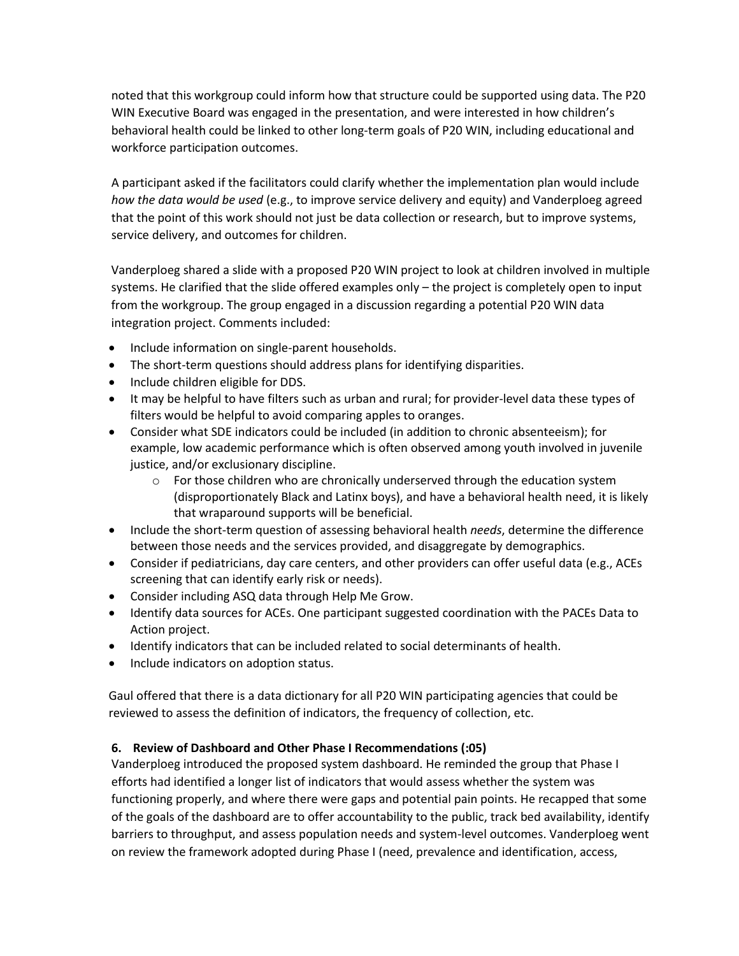noted that this workgroup could inform how that structure could be supported using data. The P20 WIN Executive Board was engaged in the presentation, and were interested in how children's behavioral health could be linked to other long-term goals of P20 WIN, including educational and workforce participation outcomes.

A participant asked if the facilitators could clarify whether the implementation plan would include *how the data would be used* (e.g., to improve service delivery and equity) and Vanderploeg agreed that the point of this work should not just be data collection or research, but to improve systems, service delivery, and outcomes for children.

Vanderploeg shared a slide with a proposed P20 WIN project to look at children involved in multiple systems. He clarified that the slide offered examples only – the project is completely open to input from the workgroup. The group engaged in a discussion regarding a potential P20 WIN data integration project. Comments included:

- Include information on single-parent households.
- The short-term questions should address plans for identifying disparities.
- Include children eligible for DDS.
- It may be helpful to have filters such as urban and rural; for provider-level data these types of filters would be helpful to avoid comparing apples to oranges.
- Consider what SDE indicators could be included (in addition to chronic absenteeism); for example, low academic performance which is often observed among youth involved in juvenile justice, and/or exclusionary discipline.
	- $\circ$  For those children who are chronically underserved through the education system (disproportionately Black and Latinx boys), and have a behavioral health need, it is likely that wraparound supports will be beneficial.
- Include the short-term question of assessing behavioral health *needs*, determine the difference between those needs and the services provided, and disaggregate by demographics.
- Consider if pediatricians, day care centers, and other providers can offer useful data (e.g., ACEs screening that can identify early risk or needs).
- Consider including ASQ data through Help Me Grow.
- Identify data sources for ACEs. One participant suggested coordination with the PACEs Data to Action project.
- Identify indicators that can be included related to social determinants of health.
- Include indicators on adoption status.

Gaul offered that there is a data dictionary for all P20 WIN participating agencies that could be reviewed to assess the definition of indicators, the frequency of collection, etc.

### **6. Review of Dashboard and Other Phase I Recommendations (:05)**

Vanderploeg introduced the proposed system dashboard. He reminded the group that Phase I efforts had identified a longer list of indicators that would assess whether the system was functioning properly, and where there were gaps and potential pain points. He recapped that some of the goals of the dashboard are to offer accountability to the public, track bed availability, identify barriers to throughput, and assess population needs and system-level outcomes. Vanderploeg went on review the framework adopted during Phase I (need, prevalence and identification, access,